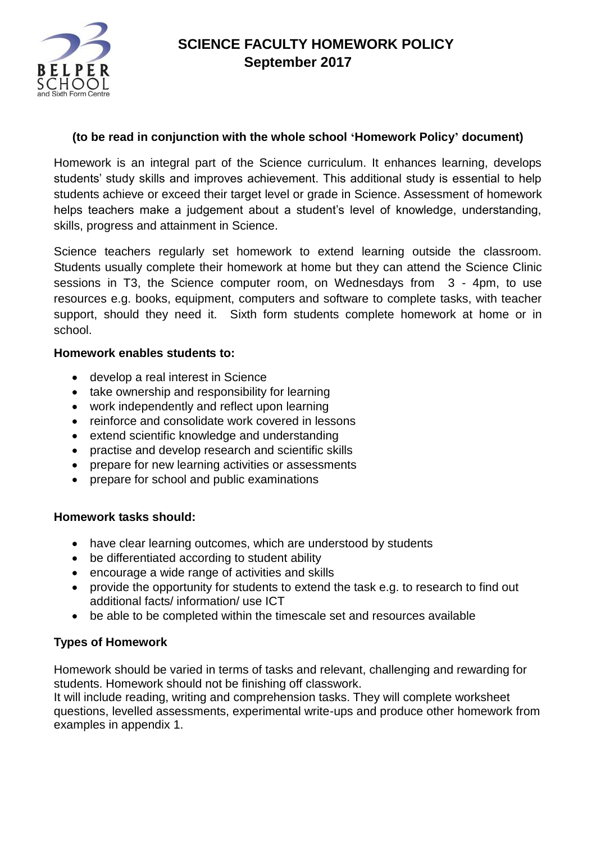

# **SCIENCE FACULTY HOMEWORK POLICY September 2017**

### **(to be read in conjunction with the whole school 'Homework Policy' document)**

Homework is an integral part of the Science curriculum. It enhances learning, develops students' study skills and improves achievement. This additional study is essential to help students achieve or exceed their target level or grade in Science. Assessment of homework helps teachers make a judgement about a student's level of knowledge, understanding, skills, progress and attainment in Science.

Science teachers regularly set homework to extend learning outside the classroom. Students usually complete their homework at home but they can attend the Science Clinic sessions in T3, the Science computer room, on Wednesdays from 3 - 4pm, to use resources e.g. books, equipment, computers and software to complete tasks, with teacher support, should they need it. Sixth form students complete homework at home or in school.

#### **Homework enables students to:**

- develop a real interest in Science
- take ownership and responsibility for learning
- work independently and reflect upon learning
- reinforce and consolidate work covered in lessons
- extend scientific knowledge and understanding
- practise and develop research and scientific skills
- prepare for new learning activities or assessments
- prepare for school and public examinations

### **Homework tasks should:**

- have clear learning outcomes, which are understood by students
- be differentiated according to student ability
- encourage a wide range of activities and skills
- provide the opportunity for students to extend the task e.g. to research to find out additional facts/ information/ use ICT
- be able to be completed within the timescale set and resources available

## **Types of Homework**

Homework should be varied in terms of tasks and relevant, challenging and rewarding for students. Homework should not be finishing off classwork.

It will include reading, writing and comprehension tasks. They will complete worksheet questions, levelled assessments, experimental write-ups and produce other homework from examples in appendix 1.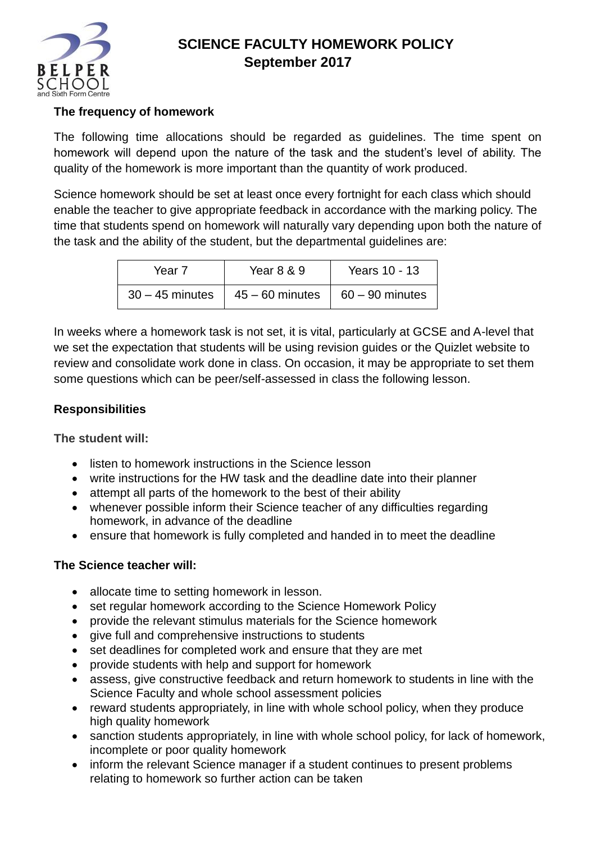

# **SCIENCE FACULTY HOMEWORK POLICY September 2017**

## **The frequency of homework**

The following time allocations should be regarded as guidelines. The time spent on homework will depend upon the nature of the task and the student's level of ability. The quality of the homework is more important than the quantity of work produced.

Science homework should be set at least once every fortnight for each class which should enable the teacher to give appropriate feedback in accordance with the marking policy. The time that students spend on homework will naturally vary depending upon both the nature of the task and the ability of the student, but the departmental guidelines are:

| Year 7            | Year 8 & 9                                      | Years 10 - 13 |
|-------------------|-------------------------------------------------|---------------|
| $30 - 45$ minutes | $\vert$ 45 – 60 minutes $\vert$ 60 – 90 minutes |               |

In weeks where a homework task is not set, it is vital, particularly at GCSE and A-level that we set the expectation that students will be using revision guides or the Quizlet website to review and consolidate work done in class. On occasion, it may be appropriate to set them some questions which can be peer/self-assessed in class the following lesson.

### **Responsibilities**

**The student will:**

- listen to homework instructions in the Science lesson
- write instructions for the HW task and the deadline date into their planner
- attempt all parts of the homework to the best of their ability
- whenever possible inform their Science teacher of any difficulties regarding homework, in advance of the deadline
- ensure that homework is fully completed and handed in to meet the deadline

### **The Science teacher will:**

- allocate time to setting homework in lesson.
- set regular homework according to the Science Homework Policy
- provide the relevant stimulus materials for the Science homework
- give full and comprehensive instructions to students
- set deadlines for completed work and ensure that they are met
- provide students with help and support for homework
- assess, give constructive feedback and return homework to students in line with the Science Faculty and whole school assessment policies
- reward students appropriately, in line with whole school policy, when they produce high quality homework
- sanction students appropriately, in line with whole school policy, for lack of homework, incomplete or poor quality homework
- inform the relevant Science manager if a student continues to present problems relating to homework so further action can be taken